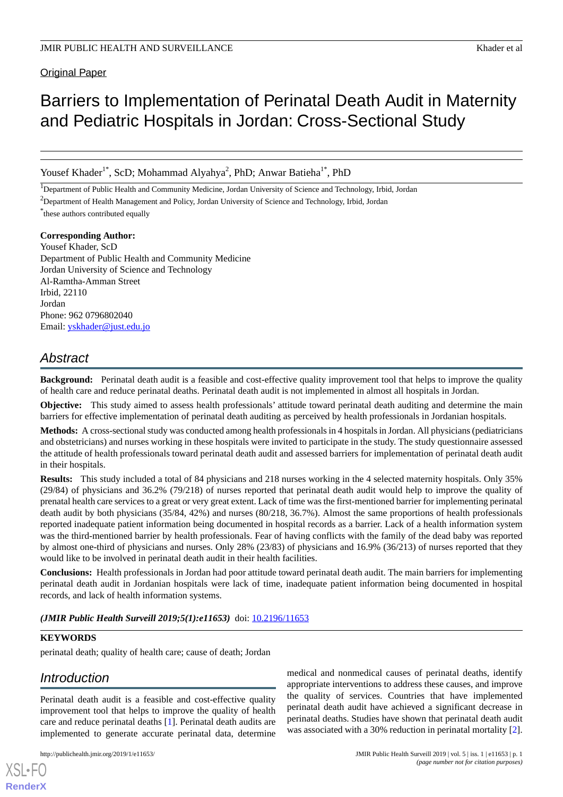Original Paper

# Barriers to Implementation of Perinatal Death Audit in Maternity and Pediatric Hospitals in Jordan: Cross-Sectional Study

Yousef Khader<sup>1\*</sup>, ScD; Mohammad Alyahya<sup>2</sup>, PhD; Anwar Batieha<sup>1\*</sup>, PhD

<sup>1</sup>Department of Public Health and Community Medicine, Jordan University of Science and Technology, Irbid, Jordan

<sup>2</sup>Department of Health Management and Policy, Jordan University of Science and Technology, Irbid, Jordan

\* these authors contributed equally

#### **Corresponding Author:**

Yousef Khader, ScD Department of Public Health and Community Medicine Jordan University of Science and Technology Al-Ramtha-Amman Street Irbid, 22110 Jordan Phone: 962 0796802040 Email: [yskhader@just.edu.jo](mailto:yskhader@just.edu.jo)

# *Abstract*

**Background:** Perinatal death audit is a feasible and cost-effective quality improvement tool that helps to improve the quality of health care and reduce perinatal deaths. Perinatal death audit is not implemented in almost all hospitals in Jordan.

**Objective:** This study aimed to assess health professionals' attitude toward perinatal death auditing and determine the main barriers for effective implementation of perinatal death auditing as perceived by health professionals in Jordanian hospitals.

**Methods:** A cross-sectional study was conducted among health professionals in 4 hospitals in Jordan. All physicians (pediatricians and obstetricians) and nurses working in these hospitals were invited to participate in the study. The study questionnaire assessed the attitude of health professionals toward perinatal death audit and assessed barriers for implementation of perinatal death audit in their hospitals.

**Results:** This study included a total of 84 physicians and 218 nurses working in the 4 selected maternity hospitals. Only 35% (29/84) of physicians and 36.2% (79/218) of nurses reported that perinatal death audit would help to improve the quality of prenatal health care services to a great or very great extent. Lack of time was the first-mentioned barrier for implementing perinatal death audit by both physicians (35/84, 42%) and nurses (80/218, 36.7%). Almost the same proportions of health professionals reported inadequate patient information being documented in hospital records as a barrier. Lack of a health information system was the third-mentioned barrier by health professionals. Fear of having conflicts with the family of the dead baby was reported by almost one-third of physicians and nurses. Only 28% (23/83) of physicians and 16.9% (36/213) of nurses reported that they would like to be involved in perinatal death audit in their health facilities.

**Conclusions:** Health professionals in Jordan had poor attitude toward perinatal death audit. The main barriers for implementing perinatal death audit in Jordanian hospitals were lack of time, inadequate patient information being documented in hospital records, and lack of health information systems.

#### *(JMIR Public Health Surveill 2019;5(1):e11653)* doi: [10.2196/11653](http://dx.doi.org/10.2196/11653)

#### **KEYWORDS**

[XSL](http://www.w3.org/Style/XSL)•FO **[RenderX](http://www.renderx.com/)**

perinatal death; quality of health care; cause of death; Jordan

## *Introduction*

Perinatal death audit is a feasible and cost-effective quality improvement tool that helps to improve the quality of health care and reduce perinatal deaths [\[1](#page-5-0)]. Perinatal death audits are implemented to generate accurate perinatal data, determine

medical and nonmedical causes of perinatal deaths, identify appropriate interventions to address these causes, and improve the quality of services. Countries that have implemented perinatal death audit have achieved a significant decrease in perinatal deaths. Studies have shown that perinatal death audit was associated with a 30% reduction in perinatal mortality [[2\]](#page-5-1).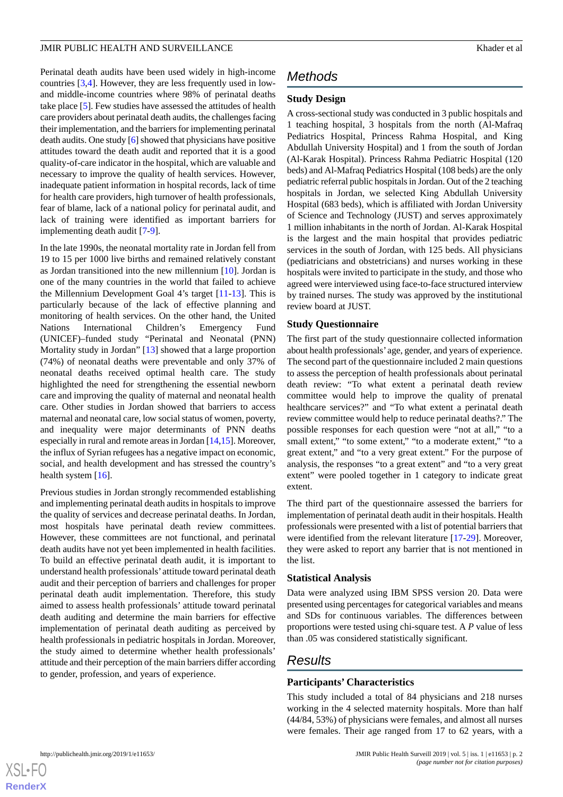#### **JMIR PUBLIC HEALTH AND SURVEILLANCE Example 2008 CONVEILLER CONVEILER AND SURVEILLANCE**

Perinatal death audits have been used widely in high-income countries [\[3](#page-5-2),[4\]](#page-5-3). However, they are less frequently used in lowand middle-income countries where 98% of perinatal deaths take place [[5\]](#page-5-4). Few studies have assessed the attitudes of health care providers about perinatal death audits, the challenges facing their implementation, and the barriers for implementing perinatal death audits. One study [[6\]](#page-5-5) showed that physicians have positive attitudes toward the death audit and reported that it is a good quality-of-care indicator in the hospital, which are valuable and necessary to improve the quality of health services. However, inadequate patient information in hospital records, lack of time for health care providers, high turnover of health professionals, fear of blame, lack of a national policy for perinatal audit, and lack of training were identified as important barriers for implementing death audit [[7-](#page-5-6)[9\]](#page-5-7).

In the late 1990s, the neonatal mortality rate in Jordan fell from 19 to 15 per 1000 live births and remained relatively constant as Jordan transitioned into the new millennium [\[10](#page-5-8)]. Jordan is one of the many countries in the world that failed to achieve the Millennium Development Goal 4's target [[11-](#page-5-9)[13\]](#page-5-10). This is particularly because of the lack of effective planning and monitoring of health services. On the other hand, the United Nations International Children's Emergency Fund (UNICEF)–funded study "Perinatal and Neonatal (PNN) Mortality study in Jordan" [\[13](#page-5-10)] showed that a large proportion (74%) of neonatal deaths were preventable and only 37% of neonatal deaths received optimal health care. The study highlighted the need for strengthening the essential newborn care and improving the quality of maternal and neonatal health care. Other studies in Jordan showed that barriers to access maternal and neonatal care, low social status of women, poverty, and inequality were major determinants of PNN deaths especially in rural and remote areas in Jordan [[14](#page-5-11),[15\]](#page-5-12). Moreover, the influx of Syrian refugees has a negative impact on economic, social, and health development and has stressed the country's health system [\[16](#page-5-13)].

Previous studies in Jordan strongly recommended establishing and implementing perinatal death audits in hospitals to improve the quality of services and decrease perinatal deaths. In Jordan, most hospitals have perinatal death review committees. However, these committees are not functional, and perinatal death audits have not yet been implemented in health facilities. To build an effective perinatal death audit, it is important to understand health professionals' attitude toward perinatal death audit and their perception of barriers and challenges for proper perinatal death audit implementation. Therefore, this study aimed to assess health professionals' attitude toward perinatal death auditing and determine the main barriers for effective implementation of perinatal death auditing as perceived by health professionals in pediatric hospitals in Jordan. Moreover, the study aimed to determine whether health professionals' attitude and their perception of the main barriers differ according to gender, profession, and years of experience.

# *Methods*

#### **Study Design**

A cross-sectional study was conducted in 3 public hospitals and 1 teaching hospital, 3 hospitals from the north (Al-Mafraq Pediatrics Hospital, Princess Rahma Hospital, and King Abdullah University Hospital) and 1 from the south of Jordan (Al-Karak Hospital). Princess Rahma Pediatric Hospital (120 beds) and Al-Mafraq Pediatrics Hospital (108 beds) are the only pediatric referral public hospitals in Jordan. Out of the 2 teaching hospitals in Jordan, we selected King Abdullah University Hospital (683 beds), which is affiliated with Jordan University of Science and Technology (JUST) and serves approximately 1 million inhabitants in the north of Jordan. Al-Karak Hospital is the largest and the main hospital that provides pediatric services in the south of Jordan, with 125 beds. All physicians (pediatricians and obstetricians) and nurses working in these hospitals were invited to participate in the study, and those who agreed were interviewed using face-to-face structured interview by trained nurses. The study was approved by the institutional review board at JUST.

#### **Study Questionnaire**

The first part of the study questionnaire collected information about health professionals' age, gender, and years of experience. The second part of the questionnaire included 2 main questions to assess the perception of health professionals about perinatal death review: "To what extent a perinatal death review committee would help to improve the quality of prenatal healthcare services?" and "To what extent a perinatal death review committee would help to reduce perinatal deaths?." The possible responses for each question were "not at all," "to a small extent," "to some extent," "to a moderate extent," "to a great extent," and "to a very great extent." For the purpose of analysis, the responses "to a great extent" and "to a very great extent" were pooled together in 1 category to indicate great extent.

The third part of the questionnaire assessed the barriers for implementation of perinatal death audit in their hospitals. Health professionals were presented with a list of potential barriers that were identified from the relevant literature [[17-](#page-5-14)[29](#page-6-0)]. Moreover, they were asked to report any barrier that is not mentioned in the list.

#### **Statistical Analysis**

Data were analyzed using IBM SPSS version 20. Data were presented using percentages for categorical variables and means and SDs for continuous variables. The differences between proportions were tested using chi-square test. A *P* value of less than .05 was considered statistically significant.

### *Results*

#### **Participants' Characteristics**

This study included a total of 84 physicians and 218 nurses working in the 4 selected maternity hospitals. More than half (44/84, 53%) of physicians were females, and almost all nurses were females. Their age ranged from 17 to 62 years, with a

 $XS$  $\cdot$ FC **[RenderX](http://www.renderx.com/)**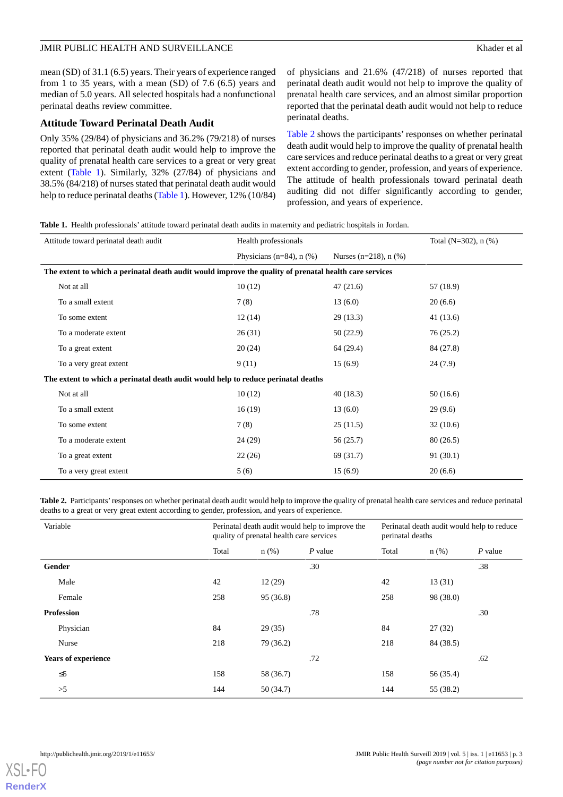#### JMIR PUBLIC HEALTH AND SURVEILLANCE **Superintent and Superintent and Superintent** and Superintent and Superintent and Superintent and Superintent and Superintent and Superintent and Superintent and Superintent and Superint

mean (SD) of 31.1 (6.5) years. Their years of experience ranged from 1 to 35 years, with a mean (SD) of 7.6 (6.5) years and median of 5.0 years. All selected hospitals had a nonfunctional perinatal deaths review committee.

#### **Attitude Toward Perinatal Death Audit**

Only 35% (29/84) of physicians and 36.2% (79/218) of nurses reported that perinatal death audit would help to improve the quality of prenatal health care services to a great or very great extent ([Table 1](#page-2-0)). Similarly, 32% (27/84) of physicians and 38.5% (84/218) of nurses stated that perinatal death audit would help to reduce perinatal deaths [\(Table 1](#page-2-0)). However, 12% (10/84)

of physicians and 21.6% (47/218) of nurses reported that perinatal death audit would not help to improve the quality of prenatal health care services, and an almost similar proportion reported that the perinatal death audit would not help to reduce perinatal deaths.

[Table 2](#page-2-1) shows the participants' responses on whether perinatal death audit would help to improve the quality of prenatal health care services and reduce perinatal deaths to a great or very great extent according to gender, profession, and years of experience. The attitude of health professionals toward perinatal death auditing did not differ significantly according to gender, profession, and years of experience.

<span id="page-2-0"></span>**Table 1.** Health professionals' attitude toward perinatal death audits in maternity and pediatric hospitals in Jordan.

| Attitude toward perinatal death audit                                                                  | Health professionals           |                         | Total ( $N=302$ ), n $(\% )$ |  |  |
|--------------------------------------------------------------------------------------------------------|--------------------------------|-------------------------|------------------------------|--|--|
|                                                                                                        | Physicians ( $n=84$ ), $n$ (%) | Nurses (n=218), $n$ (%) |                              |  |  |
| The extent to which a perinatal death audit would improve the quality of prenatal health care services |                                |                         |                              |  |  |
| Not at all                                                                                             | 10(12)                         | 47(21.6)                | 57 (18.9)                    |  |  |
| To a small extent                                                                                      | 7(8)                           | 13(6.0)                 | 20(6.6)                      |  |  |
| To some extent                                                                                         | 12(14)                         | 29(13.3)                | 41 (13.6)                    |  |  |
| To a moderate extent                                                                                   | 26(31)                         | 50 (22.9)               | 76 (25.2)                    |  |  |
| To a great extent                                                                                      | 20(24)                         | 64 (29.4)               | 84 (27.8)                    |  |  |
| To a very great extent                                                                                 | 9(11)                          | 15(6.9)                 | 24(7.9)                      |  |  |
| The extent to which a perinatal death audit would help to reduce perinatal deaths                      |                                |                         |                              |  |  |
| Not at all                                                                                             | 10(12)                         | 40(18.3)                | 50(16.6)                     |  |  |
| To a small extent                                                                                      | 16(19)                         | 13(6.0)                 | 29(9.6)                      |  |  |
| To some extent                                                                                         | 7(8)                           | 25(11.5)                | 32(10.6)                     |  |  |
| To a moderate extent                                                                                   | 24 (29)                        | 56 (25.7)               | 80(26.5)                     |  |  |
| To a great extent                                                                                      | 22(26)                         | 69 (31.7)               | 91(30.1)                     |  |  |
| To a very great extent                                                                                 | 5(6)                           | 15(6.9)                 | 20(6.6)                      |  |  |

<span id="page-2-1"></span>Table 2. Participants' responses on whether perinatal death audit would help to improve the quality of prenatal health care services and reduce perinatal deaths to a great or very great extent according to gender, profession, and years of experience.

| Variable                   |       | Perinatal death audit would help to improve the<br>quality of prenatal health care services |           | Perinatal death audit would help to reduce<br>perinatal deaths |           |           |
|----------------------------|-------|---------------------------------------------------------------------------------------------|-----------|----------------------------------------------------------------|-----------|-----------|
|                            | Total | $n$ (%)                                                                                     | $P$ value | Total                                                          | $n$ (%)   | $P$ value |
| Gender                     |       |                                                                                             | .30       |                                                                |           | .38       |
| Male                       | 42    | 12(29)                                                                                      |           | 42                                                             | 13(31)    |           |
| Female                     | 258   | 95 (36.8)                                                                                   |           | 258                                                            | 98 (38.0) |           |
| <b>Profession</b>          |       |                                                                                             | .78       |                                                                |           | .30       |
| Physician                  | 84    | 29(35)                                                                                      |           | 84                                                             | 27(32)    |           |
| Nurse                      | 218   | 79 (36.2)                                                                                   |           | 218                                                            | 84 (38.5) |           |
| <b>Years of experience</b> |       |                                                                                             | .72       |                                                                |           | .62       |
| $\leq 5$                   | 158   | 58 (36.7)                                                                                   |           | 158                                                            | 56 (35.4) |           |
| >5                         | 144   | 50(34.7)                                                                                    |           | 144                                                            | 55 (38.2) |           |

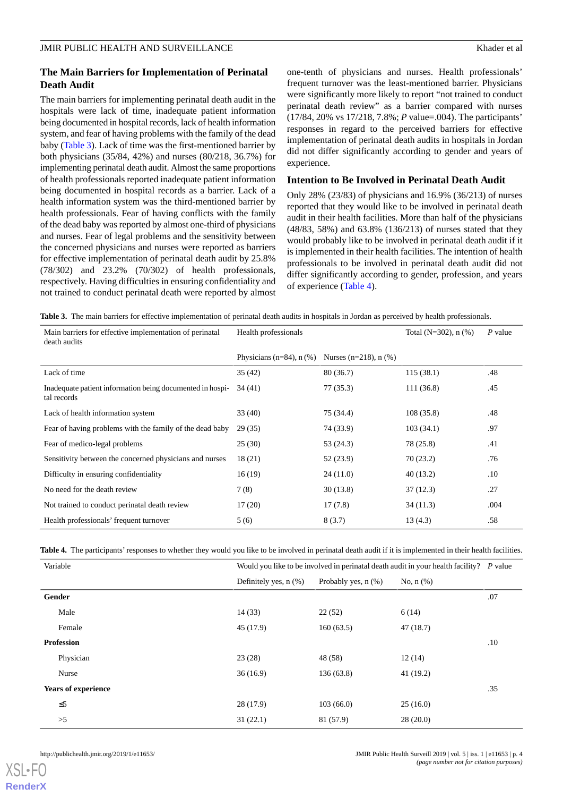#### **The Main Barriers for Implementation of Perinatal Death Audit**

The main barriers for implementing perinatal death audit in the hospitals were lack of time, inadequate patient information being documented in hospital records, lack of health information system, and fear of having problems with the family of the dead baby ([Table 3\)](#page-3-0). Lack of time was the first-mentioned barrier by both physicians (35/84, 42%) and nurses (80/218, 36.7%) for implementing perinatal death audit. Almost the same proportions of health professionals reported inadequate patient information being documented in hospital records as a barrier. Lack of a health information system was the third-mentioned barrier by health professionals. Fear of having conflicts with the family of the dead baby was reported by almost one-third of physicians and nurses. Fear of legal problems and the sensitivity between the concerned physicians and nurses were reported as barriers for effective implementation of perinatal death audit by 25.8% (78/302) and 23.2% (70/302) of health professionals, respectively. Having difficulties in ensuring confidentiality and not trained to conduct perinatal death were reported by almost

one-tenth of physicians and nurses. Health professionals' frequent turnover was the least-mentioned barrier. Physicians were significantly more likely to report "not trained to conduct perinatal death review" as a barrier compared with nurses (17/84, 20% vs 17/218, 7.8%; *P* value=.004). The participants' responses in regard to the perceived barriers for effective implementation of perinatal death audits in hospitals in Jordan did not differ significantly according to gender and years of experience.

#### **Intention to Be Involved in Perinatal Death Audit**

Only 28% (23/83) of physicians and 16.9% (36/213) of nurses reported that they would like to be involved in perinatal death audit in their health facilities. More than half of the physicians (48/83, 58%) and 63.8% (136/213) of nurses stated that they would probably like to be involved in perinatal death audit if it is implemented in their health facilities. The intention of health professionals to be involved in perinatal death audit did not differ significantly according to gender, profession, and years of experience ([Table 4\)](#page-3-1).

<span id="page-3-0"></span>**Table 3.** The main barriers for effective implementation of perinatal death audits in hospitals in Jordan as perceived by health professionals.

| Main barriers for effective implementation of perinatal<br>death audits  | Health professionals           |                         | Total (N=302), $n$ (%) | $P$ value |
|--------------------------------------------------------------------------|--------------------------------|-------------------------|------------------------|-----------|
|                                                                          | Physicians $(n=84)$ , n $(\%)$ | Nurses (n=218), $n$ (%) |                        |           |
| Lack of time                                                             | 35(42)                         | 80(36.7)                | 115(38.1)              | .48       |
| Inadequate patient information being documented in hospi-<br>tal records | 34 (41)                        | 77 (35.3)               | 111(36.8)              | .45       |
| Lack of health information system                                        | 33(40)                         | 75 (34.4)               | 108(35.8)              | .48       |
| Fear of having problems with the family of the dead baby                 | 29(35)                         | 74 (33.9)               | 103(34.1)              | .97       |
| Fear of medico-legal problems                                            | 25(30)                         | 53 (24.3)               | 78 (25.8)              | .41       |
| Sensitivity between the concerned physicians and nurses                  | 18(21)                         | 52 (23.9)               | 70(23.2)               | .76       |
| Difficulty in ensuring confidentiality                                   | 16(19)                         | 24(11.0)                | 40(13.2)               | .10       |
| No need for the death review                                             | 7(8)                           | 30(13.8)                | 37(12.3)               | .27       |
| Not trained to conduct perinatal death review                            | 17(20)                         | 17(7.8)                 | 34(11.3)               | .004      |
| Health professionals' frequent turnover                                  | 5(6)                           | 8(3.7)                  | 13(4.3)                | .58       |

<span id="page-3-1"></span>Table 4. The participants' responses to whether they would you like to be involved in perinatal death audit if it is implemented in their health facilities.

| Variable                   | Would you like to be involved in perinatal death audit in your health facility? P value |                          |                |     |
|----------------------------|-----------------------------------------------------------------------------------------|--------------------------|----------------|-----|
|                            | Definitely yes, $n$ $(\%)$                                                              | Probably yes, $n$ $(\%)$ | No, $n$ $(\%)$ |     |
| Gender                     |                                                                                         |                          |                | .07 |
| Male                       | 14(33)                                                                                  | 22(52)                   | 6(14)          |     |
| Female                     | 45(17.9)                                                                                | 160(63.5)                | 47(18.7)       |     |
| <b>Profession</b>          |                                                                                         |                          |                | .10 |
| Physician                  | 23(28)                                                                                  | 48 (58)                  | 12(14)         |     |
| Nurse                      | 36(16.9)                                                                                | 136(63.8)                | 41 (19.2)      |     |
| <b>Years of experience</b> |                                                                                         |                          |                | .35 |
| $\leq 5$                   | 28(17.9)                                                                                | 103(66.0)                | 25(16.0)       |     |
| >5                         | 31(22.1)                                                                                | 81 (57.9)                | 28(20.0)       |     |

[XSL](http://www.w3.org/Style/XSL)•FO **[RenderX](http://www.renderx.com/)**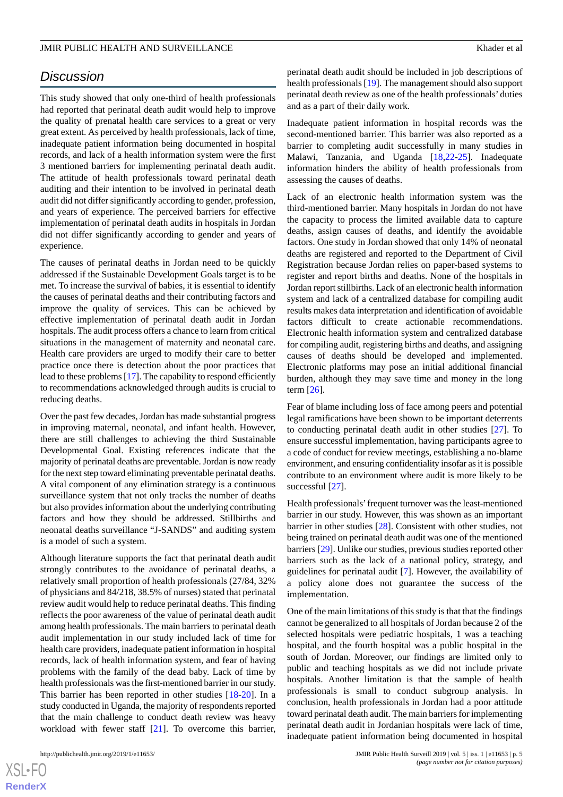### *Discussion*

This study showed that only one-third of health professionals had reported that perinatal death audit would help to improve the quality of prenatal health care services to a great or very great extent. As perceived by health professionals, lack of time, inadequate patient information being documented in hospital records, and lack of a health information system were the first 3 mentioned barriers for implementing perinatal death audit. The attitude of health professionals toward perinatal death auditing and their intention to be involved in perinatal death audit did not differ significantly according to gender, profession, and years of experience. The perceived barriers for effective implementation of perinatal death audits in hospitals in Jordan did not differ significantly according to gender and years of experience.

The causes of perinatal deaths in Jordan need to be quickly addressed if the Sustainable Development Goals target is to be met. To increase the survival of babies, it is essential to identify the causes of perinatal deaths and their contributing factors and improve the quality of services. This can be achieved by effective implementation of perinatal death audit in Jordan hospitals. The audit process offers a chance to learn from critical situations in the management of maternity and neonatal care. Health care providers are urged to modify their care to better practice once there is detection about the poor practices that lead to these problems [\[17\]](#page-5-14). The capability to respond efficiently to recommendations acknowledged through audits is crucial to reducing deaths.

Over the past few decades, Jordan has made substantial progress in improving maternal, neonatal, and infant health. However, there are still challenges to achieving the third Sustainable Developmental Goal. Existing references indicate that the majority of perinatal deaths are preventable. Jordan is now ready for the next step toward eliminating preventable perinatal deaths. A vital component of any elimination strategy is a continuous surveillance system that not only tracks the number of deaths but also provides information about the underlying contributing factors and how they should be addressed. Stillbirths and neonatal deaths surveillance "J-SANDS" and auditing system is a model of such a system.

Although literature supports the fact that perinatal death audit strongly contributes to the avoidance of perinatal deaths, a relatively small proportion of health professionals (27/84, 32% of physicians and 84/218, 38.5% of nurses) stated that perinatal review audit would help to reduce perinatal deaths. This finding reflects the poor awareness of the value of perinatal death audit among health professionals. The main barriers to perinatal death audit implementation in our study included lack of time for health care providers, inadequate patient information in hospital records, lack of health information system, and fear of having problems with the family of the dead baby. Lack of time by health professionals was the first-mentioned barrier in our study. This barrier has been reported in other studies [\[18](#page-6-1)-[20\]](#page-6-2). In a study conducted in Uganda, the majority of respondents reported that the main challenge to conduct death review was heavy workload with fewer staff [\[21](#page-6-3)]. To overcome this barrier,

perinatal death audit should be included in job descriptions of health professionals [[19\]](#page-6-4). The management should also support perinatal death review as one of the health professionals' duties and as a part of their daily work.

Inadequate patient information in hospital records was the second-mentioned barrier. This barrier was also reported as a barrier to completing audit successfully in many studies in Malawi, Tanzania, and Uganda [\[18](#page-6-1)[,22](#page-6-5)[-25](#page-6-6)]. Inadequate information hinders the ability of health professionals from assessing the causes of deaths.

Lack of an electronic health information system was the third-mentioned barrier. Many hospitals in Jordan do not have the capacity to process the limited available data to capture deaths, assign causes of deaths, and identify the avoidable factors. One study in Jordan showed that only 14% of neonatal deaths are registered and reported to the Department of Civil Registration because Jordan relies on paper-based systems to register and report births and deaths. None of the hospitals in Jordan report stillbirths. Lack of an electronic health information system and lack of a centralized database for compiling audit results makes data interpretation and identification of avoidable factors difficult to create actionable recommendations. Electronic health information system and centralized database for compiling audit, registering births and deaths, and assigning causes of deaths should be developed and implemented. Electronic platforms may pose an initial additional financial burden, although they may save time and money in the long term [[26\]](#page-6-7).

Fear of blame including loss of face among peers and potential legal ramifications have been shown to be important deterrents to conducting perinatal death audit in other studies [[27\]](#page-6-8). To ensure successful implementation, having participants agree to a code of conduct for review meetings, establishing a no-blame environment, and ensuring confidentiality insofar as it is possible contribute to an environment where audit is more likely to be successful [[27\]](#page-6-8).

Health professionals'frequent turnover was the least-mentioned barrier in our study. However, this was shown as an important barrier in other studies [\[28](#page-6-9)]. Consistent with other studies, not being trained on perinatal death audit was one of the mentioned barriers [\[29\]](#page-6-0). Unlike our studies, previous studies reported other barriers such as the lack of a national policy, strategy, and guidelines for perinatal audit [[7\]](#page-5-6). However, the availability of a policy alone does not guarantee the success of the implementation.

One of the main limitations of this study is that that the findings cannot be generalized to all hospitals of Jordan because 2 of the selected hospitals were pediatric hospitals, 1 was a teaching hospital, and the fourth hospital was a public hospital in the south of Jordan. Moreover, our findings are limited only to public and teaching hospitals as we did not include private hospitals. Another limitation is that the sample of health professionals is small to conduct subgroup analysis. In conclusion, health professionals in Jordan had a poor attitude toward perinatal death audit. The main barriers for implementing perinatal death audit in Jordanian hospitals were lack of time, inadequate patient information being documented in hospital

 $XS$  $\cdot$ FC **[RenderX](http://www.renderx.com/)**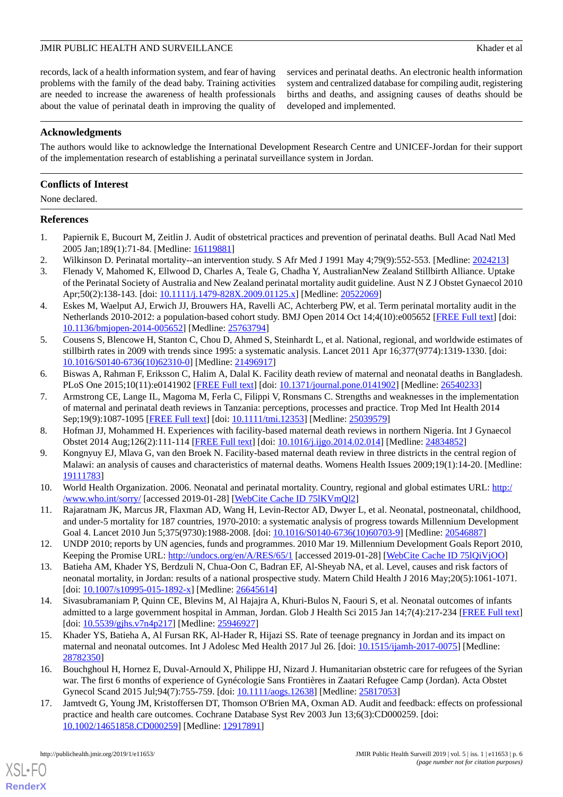#### JMIR PUBLIC HEALTH AND SURVEILLANCE **Superior and the set of all the set of all the set of all the set of all the set of all the set of all the set of all the set of all the set of all the set of all the set of all the set**

records, lack of a health information system, and fear of having problems with the family of the dead baby. Training activities are needed to increase the awareness of health professionals about the value of perinatal death in improving the quality of services and perinatal deaths. An electronic health information system and centralized database for compiling audit, registering births and deaths, and assigning causes of deaths should be developed and implemented.

#### **Acknowledgments**

The authors would like to acknowledge the International Development Research Centre and UNICEF-Jordan for their support of the implementation research of establishing a perinatal surveillance system in Jordan.

#### **Conflicts of Interest**

None declared.

#### <span id="page-5-0"></span>**References**

- <span id="page-5-2"></span><span id="page-5-1"></span>1. Papiernik E, Bucourt M, Zeitlin J. Audit of obstetrical practices and prevention of perinatal deaths. Bull Acad Natl Med 2005 Jan;189(1):71-84. [Medline: [16119881\]](http://www.ncbi.nlm.nih.gov/entrez/query.fcgi?cmd=Retrieve&db=PubMed&list_uids=16119881&dopt=Abstract)
- 2. Wilkinson D. Perinatal mortality--an intervention study. S Afr Med J 1991 May 4;79(9):552-553. [Medline: [2024213](http://www.ncbi.nlm.nih.gov/entrez/query.fcgi?cmd=Retrieve&db=PubMed&list_uids=2024213&dopt=Abstract)]
- <span id="page-5-3"></span>3. Flenady V, Mahomed K, Ellwood D, Charles A, Teale G, Chadha Y, AustralianNew Zealand Stillbirth Alliance. Uptake of the Perinatal Society of Australia and New Zealand perinatal mortality audit guideline. Aust N Z J Obstet Gynaecol 2010 Apr;50(2):138-143. [doi: [10.1111/j.1479-828X.2009.01125.x\]](http://dx.doi.org/10.1111/j.1479-828X.2009.01125.x) [Medline: [20522069](http://www.ncbi.nlm.nih.gov/entrez/query.fcgi?cmd=Retrieve&db=PubMed&list_uids=20522069&dopt=Abstract)]
- <span id="page-5-4"></span>4. Eskes M, Waelput AJ, Erwich JJ, Brouwers HA, Ravelli AC, Achterberg PW, et al. Term perinatal mortality audit in the Netherlands 2010-2012: a population-based cohort study. BMJ Open 2014 Oct 14;4(10):e005652 [\[FREE Full text\]](http://bmjopen.bmj.com/cgi/pmidlookup?view=long&pmid=25763794) [doi: [10.1136/bmjopen-2014-005652\]](http://dx.doi.org/10.1136/bmjopen-2014-005652) [Medline: [25763794](http://www.ncbi.nlm.nih.gov/entrez/query.fcgi?cmd=Retrieve&db=PubMed&list_uids=25763794&dopt=Abstract)]
- <span id="page-5-5"></span>5. Cousens S, Blencowe H, Stanton C, Chou D, Ahmed S, Steinhardt L, et al. National, regional, and worldwide estimates of stillbirth rates in 2009 with trends since 1995: a systematic analysis. Lancet 2011 Apr 16;377(9774):1319-1330. [doi: [10.1016/S0140-6736\(10\)62310-0\]](http://dx.doi.org/10.1016/S0140-6736(10)62310-0) [Medline: [21496917](http://www.ncbi.nlm.nih.gov/entrez/query.fcgi?cmd=Retrieve&db=PubMed&list_uids=21496917&dopt=Abstract)]
- <span id="page-5-6"></span>6. Biswas A, Rahman F, Eriksson C, Halim A, Dalal K. Facility death review of maternal and neonatal deaths in Bangladesh. PLoS One 2015;10(11):e0141902 [[FREE Full text](http://dx.plos.org/10.1371/journal.pone.0141902)] [doi: [10.1371/journal.pone.0141902\]](http://dx.doi.org/10.1371/journal.pone.0141902) [Medline: [26540233](http://www.ncbi.nlm.nih.gov/entrez/query.fcgi?cmd=Retrieve&db=PubMed&list_uids=26540233&dopt=Abstract)]
- <span id="page-5-7"></span>7. Armstrong CE, Lange IL, Magoma M, Ferla C, Filippi V, Ronsmans C. Strengths and weaknesses in the implementation of maternal and perinatal death reviews in Tanzania: perceptions, processes and practice. Trop Med Int Health 2014 Sep;19(9):1087-1095 [[FREE Full text](https://doi.org/10.1111/tmi.12353)] [doi: [10.1111/tmi.12353\]](http://dx.doi.org/10.1111/tmi.12353) [Medline: [25039579](http://www.ncbi.nlm.nih.gov/entrez/query.fcgi?cmd=Retrieve&db=PubMed&list_uids=25039579&dopt=Abstract)]
- <span id="page-5-8"></span>8. Hofman JJ, Mohammed H. Experiences with facility-based maternal death reviews in northern Nigeria. Int J Gynaecol Obstet 2014 Aug;126(2):111-114 [\[FREE Full text\]](https://linkinghub.elsevier.com/retrieve/pii/S0020-7292(14)00193-3) [doi: [10.1016/j.ijgo.2014.02.014](http://dx.doi.org/10.1016/j.ijgo.2014.02.014)] [Medline: [24834852](http://www.ncbi.nlm.nih.gov/entrez/query.fcgi?cmd=Retrieve&db=PubMed&list_uids=24834852&dopt=Abstract)]
- <span id="page-5-9"></span>9. Kongnyuy EJ, Mlava G, van den Broek N. Facility-based maternal death review in three districts in the central region of Malawi: an analysis of causes and characteristics of maternal deaths. Womens Health Issues 2009;19(1):14-20. [Medline: [19111783](http://www.ncbi.nlm.nih.gov/entrez/query.fcgi?cmd=Retrieve&db=PubMed&list_uids=19111783&dopt=Abstract)]
- 10. World Health Organization. 2006. Neonatal and perinatal mortality. Country, regional and global estimates URL: [http:/](http://www.who.int/sorry/) [/www.who.int/sorry/](http://www.who.int/sorry/) [accessed 2019-01-28] [\[WebCite Cache ID 75lKVmQl2](http://www.webcitation.org/

                                75lKVmQl2)]
- <span id="page-5-10"></span>11. Rajaratnam JK, Marcus JR, Flaxman AD, Wang H, Levin-Rector AD, Dwyer L, et al. Neonatal, postneonatal, childhood, and under-5 mortality for 187 countries, 1970-2010: a systematic analysis of progress towards Millennium Development Goal 4. Lancet 2010 Jun 5;375(9730):1988-2008. [doi: [10.1016/S0140-6736\(10\)60703-9](http://dx.doi.org/10.1016/S0140-6736(10)60703-9)] [Medline: [20546887\]](http://www.ncbi.nlm.nih.gov/entrez/query.fcgi?cmd=Retrieve&db=PubMed&list_uids=20546887&dopt=Abstract)
- <span id="page-5-11"></span>12. UNDP 2010; reports by UN agencies, funds and programmes. 2010 Mar 19. Millennium Development Goals Report 2010, Keeping the Promise URL: <http://undocs.org/en/A/RES/65/1> [accessed 2019-01-28] [WebCite Cache ID 751QiVjOO]
- <span id="page-5-12"></span>13. Batieha AM, Khader YS, Berdzuli N, Chua-Oon C, Badran EF, Al-Sheyab NA, et al. Level, causes and risk factors of neonatal mortality, in Jordan: results of a national prospective study. Matern Child Health J 2016 May;20(5):1061-1071. [doi: [10.1007/s10995-015-1892-x](http://dx.doi.org/10.1007/s10995-015-1892-x)] [Medline: [26645614\]](http://www.ncbi.nlm.nih.gov/entrez/query.fcgi?cmd=Retrieve&db=PubMed&list_uids=26645614&dopt=Abstract)
- <span id="page-5-13"></span>14. Sivasubramaniam P, Quinn CE, Blevins M, Al Hajajra A, Khuri-Bulos N, Faouri S, et al. Neonatal outcomes of infants admitted to a large government hospital in Amman, Jordan. Glob J Health Sci 2015 Jan 14;7(4):217-234 [\[FREE Full text](https://dx.doi.org/10.5539/gjhs.v7n4p217)] [doi: [10.5539/gjhs.v7n4p217](http://dx.doi.org/10.5539/gjhs.v7n4p217)] [Medline: [25946927](http://www.ncbi.nlm.nih.gov/entrez/query.fcgi?cmd=Retrieve&db=PubMed&list_uids=25946927&dopt=Abstract)]
- <span id="page-5-14"></span>15. Khader YS, Batieha A, Al Fursan RK, Al-Hader R, Hijazi SS. Rate of teenage pregnancy in Jordan and its impact on maternal and neonatal outcomes. Int J Adolesc Med Health 2017 Jul 26. [doi: [10.1515/ijamh-2017-0075\]](http://dx.doi.org/10.1515/ijamh-2017-0075) [Medline: [28782350](http://www.ncbi.nlm.nih.gov/entrez/query.fcgi?cmd=Retrieve&db=PubMed&list_uids=28782350&dopt=Abstract)]
- 16. Bouchghoul H, Hornez E, Duval-Arnould X, Philippe HJ, Nizard J. Humanitarian obstetric care for refugees of the Syrian war. The first 6 months of experience of Gynécologie Sans Frontières in Zaatari Refugee Camp (Jordan). Acta Obstet Gynecol Scand 2015 Jul;94(7):755-759. [doi: [10.1111/aogs.12638](http://dx.doi.org/10.1111/aogs.12638)] [Medline: [25817053\]](http://www.ncbi.nlm.nih.gov/entrez/query.fcgi?cmd=Retrieve&db=PubMed&list_uids=25817053&dopt=Abstract)
- 17. Jamtvedt G, Young JM, Kristoffersen DT, Thomson O'Brien MA, Oxman AD. Audit and feedback: effects on professional practice and health care outcomes. Cochrane Database Syst Rev 2003 Jun 13;6(3):CD000259. [doi: [10.1002/14651858.CD000259](http://dx.doi.org/10.1002/14651858.CD000259)] [Medline: [12917891\]](http://www.ncbi.nlm.nih.gov/entrez/query.fcgi?cmd=Retrieve&db=PubMed&list_uids=12917891&dopt=Abstract)

[XSL](http://www.w3.org/Style/XSL)•FO **[RenderX](http://www.renderx.com/)**